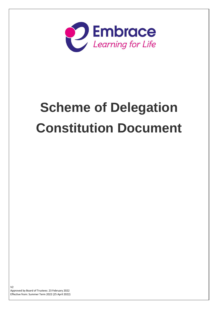

# **Scheme of Delegation Constitution Document**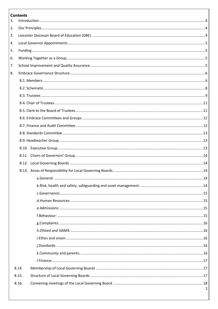# **Contents**

| 1. |       |   |
|----|-------|---|
| 2. |       |   |
| 3. |       |   |
| 4. |       |   |
| 5. |       |   |
| 6. |       |   |
| 7. |       |   |
| 8. |       |   |
|    |       |   |
|    |       |   |
|    |       |   |
|    |       |   |
|    |       |   |
|    |       |   |
|    |       |   |
|    |       |   |
|    |       |   |
|    |       |   |
|    |       |   |
|    |       |   |
|    |       |   |
|    |       |   |
|    |       |   |
|    |       |   |
|    |       |   |
|    |       |   |
|    |       |   |
|    |       |   |
|    |       |   |
|    |       |   |
|    |       |   |
|    |       |   |
|    |       |   |
|    | 8.14. |   |
|    | 8.15. |   |
|    | 8.16. |   |
|    |       | 2 |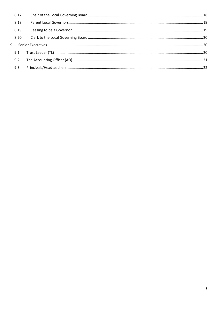| 8.18. |  |
|-------|--|
| 8.19. |  |
|       |  |
|       |  |
|       |  |
|       |  |
|       |  |
|       |  |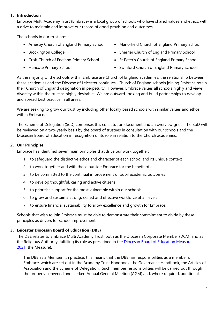#### <span id="page-3-0"></span>**1. Introduction**

Embrace Multi Academy Trust (Embrace) is a local group of schools who have shared values and ethos, with a drive to maintain and improve our record of good provision and outcomes.

The schools in our trust are:

- Arnesby Church of England Primary School
- Brockington College
- Croft Church of England Primary School
- Huncote Primary School
- Manorfield Church of England Primary School
- Sherrier Church of England Primary School
- St Peter's Church of England Primary School
- Swinford Church of England Primary School.

As the majority of the schools within Embrace are Church of England academies, the relationship between these academies and the Diocese of Leicester continues. Church of England schools joining Embrace retain their Church of England designation in perpetuity. However, Embrace values all schools highly and views diversity within the trust as highly desirable. We are outward-looking and build partnerships to develop and spread best practice in all areas.

We are seeking to grow our trust by including other locally based schools with similar values and ethos within Embrace.

The Scheme of Delegation (SoD) comprises this constitution document and an overview grid. The SoD will be reviewed on a two-yearly basis by the board of trustees in consultation with our schools and the Diocesan Board of Education in recognition of its role in relation to the Church academies.

# <span id="page-3-1"></span>**2. Our Principles**

Embrace has identified seven main principles that drive our work together:

- 1. to safeguard the distinctive ethos and character of each school and its unique context
- 2. to work together and with those outside Embrace for the benefit of all
- 3. to be committed to the continual improvement of pupil academic outcomes
- 4. to develop thoughtful, caring and active citizens
- 5. to prioritise support for the most vulnerable within our schools
- 6. to grow and sustain a strong, skilled and effective workforce at all levels
- 7. to ensure financial sustainability to allow excellence and growth for Embrace.

Schools that wish to join Embrace must be able to demonstrate their commitment to abide by these principles as drivers for school improvement.

# <span id="page-3-2"></span>**3. Leicester Diocesan Board of Education (DBE)**

The DBE relates to Embrace Multi Academy Trust, both as the Diocesan Corporate Member (DCM) and as the Religious Authority, fulfilling its role as prescribed in the [Diocesan Board of Education Measure](https://committees.parliament.uk/publications/4982/documents/49847/default/)  [2021](https://committees.parliament.uk/publications/4982/documents/49847/default/) (the Measure).

The DBE as a Member: In practice, this means that the DBE has responsibilities as a member of Embrace, which are set out in the Academy Trust Handbook, the Governance Handbook, the Articles of Association and the Scheme of Delegation. Such member responsibilities will be carried out through the properly convened and clerked Annual General Meeting (AGM) and, where required, additional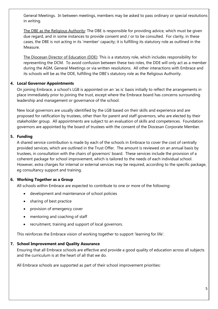General Meetings. In between meetings, members may be asked to pass ordinary or special resolutions in writing.

The DBE as the Religious Authority: The DBE is responsible for providing advice, which must be given due regard, and in some instances to provide consent and / or to be consulted. For clarity, in these cases, the DBE is not acting in its 'member' capacity; it is fulfilling its statutory role as outlined in the Measure.

The Diocesan Director of Education (DDE): This is a statutory role, which includes responsibility for representing the DCM. To avoid confusion between these two roles, the DDE will only act as a member during the AGM, General Meetings or via written resolutions. All other interactions with Embrace and its schools will be as the DDE, fulfilling the DBE's statutory role as the Religious Authority.

# <span id="page-4-0"></span>**4. Local Governor Appointments**

On joining Embrace, a school's LGB is appointed on an 'as is' basis initially to reflect the arrangements in place immediately prior to joining the trust, except where the Embrace board has concerns surrounding leadership and management or governance of the school.

New local governors are usually identified by the LGB based on their skills and experience and are proposed for ratification by trustees, other than for parent and staff governors, who are elected by their stakeholder group. All appointments are subject to an evaluation of skills and competences. Foundation governors are appointed by the board of trustees with the consent of the Diocesan Corporate Member.

# <span id="page-4-1"></span>**5. Funding**

A shared service contribution is made by each of the schools in Embrace to cover the cost of centrally provided services, which are outlined in the Trust Offer. The amount is reviewed on an annual basis by trustees, in consultation with the chairs of governors' board. These services include the provision of a coherent package for school improvement, which is tailored to the needs of each individual school. However, extra charges for internal or external services may be required, according to the specific package, eg consultancy support and training.

# <span id="page-4-2"></span>**6. Working Together as a Group**

All schools within Embrace are expected to contribute to one or more of the following:

- development and maintenance of school policies
- sharing of best practice
- provision of emergency cover
- mentoring and coaching of staff
- recruitment, training and support of local governors.

This reinforces the Embrace vision of working together to support 'learning for life'.

# <span id="page-4-3"></span>**7. School Improvement and Quality Assurance**

Ensuring that all Embrace schools are effective and provide a good quality of education across all subjects and the curriculum is at the heart of all that we do.

All Embrace schools are supported as part of their school improvement priorities: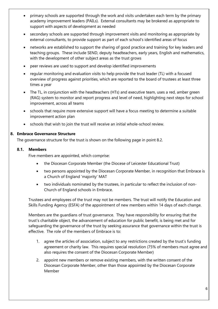- primary schools are supported through the work and visits undertaken each term by the primary academy improvement leaders (PAILs). External consultants may be brokered as appropriate to support with aspects of development as needed
- secondary schools are supported through improvement visits and monitoring as appropriate by external consultants, to provide support as part of each school's identified areas of focus
- networks are established to support the sharing of good practice and training for key leaders and teaching groups. These include SEND, deputy headteachers, early years, English and mathematics, with the development of other subject areas as the trust grows
- peer reviews are used to support and develop identified improvements
- regular monitoring and evaluation visits to help provide the trust leader (TL) with a focused overview of progress against priorities, which are reported to the board of trustees at least three times a year
- The TL, in conjunction with the headteachers (HTs) and executive team, uses a red, amber green (RAG) system to monitor and report progress and level of need, highlighting next steps for school improvement, across all teams
- schools that require more extensive support will have a focus meeting to determine a suitable improvement action plan
- schools that wish to join the trust will receive an initial whole-school review.

## <span id="page-5-0"></span>**8. Embrace Governance Structure**

The governance structure for the trust is shown on the following page in point 8.2.

#### <span id="page-5-1"></span>**8.1. Members**

Five members are appointed, which comprise:

- the Diocesan Corporate Member (the Diocese of Leicester Educational Trust)
- two persons appointed by the Diocesan Corporate Member, in recognition that Embrace is a Church of England 'majority' MAT
- two individuals nominated by the trustees, in particular to reflect the inclusion of non-Church of England schools in Embrace.

Trustees and employees of the trust may not be members. The trust will notify the Education and Skills Funding Agency (ESFA) of the appointment of new members within 14 days of each change.

Members are the guardians of trust governance. They have responsibility for ensuring that the trust's charitable object, the advancement of education for public benefit, is being met and for safeguarding the governance of the trust by seeking assurance that governance within the trust is effective. The role of the members of Embrace is to:

- 1. agree the articles of association, subject to any restrictions created by the trust's funding agreement or charity law. This requires special resolution (75% of members must agree and also requires the consent of the Diocesan Corporate Member)
- 2. appoint new members or remove existing members, with the written consent of the Diocesan Corporate Member, other than those appointed by the Diocesan Corporate Member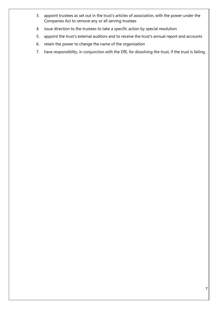- 3. appoint trustees as set out in the trust's articles of association, with the power under the Companies Act to remove any or all serving trustees
- 4. issue direction to the trustees to take a specific action by special resolution
- 5. appoint the trust's external auditors and to receive the trust's annual report and accounts
- 6. retain the power to change the name of the organisation
- 7. have responsibility, in conjunction with the DfE, for dissolving the trust, if the trust is failing.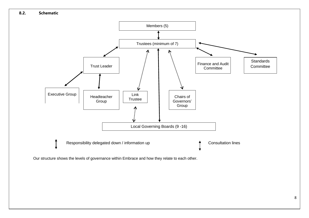

<span id="page-7-0"></span>Our structure shows the levels of governance within Embrace and how they relate to each other.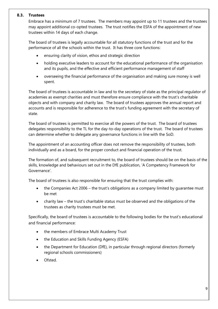#### <span id="page-8-0"></span>**8.3. Trustees**

Embrace has a minimum of 7 trustees. The members may appoint up to 11 trustees and the trustees may appoint additional co-opted trustees. The trust notifies the ESFA of the appointment of new trustees within 14 days of each change.

The board of trustees is legally accountable for all statutory functions of the trust and for the performance of all the schools within the trust. It has three core functions:

- ensuring clarity of vision, ethos and strategic direction
- holding executive leaders to account for the educational performance of the organisation and its pupils, and the effective and efficient performance management of staff
- overseeing the financial performance of the organisation and making sure money is well spent.

The board of trustees is accountable in law and to the secretary of state as the principal regulator of academies as exempt charities and must therefore ensure compliance with the trust's charitable objects and with company and charity law. The board of trustees approves the annual report and accounts and is responsible for adherence to the trust's funding agreement with the secretary of state.

The board of trustees is permitted to exercise all the powers of the trust. The board of trustees delegates responsibility to the TL for the day-to-day operations of the trust. The board of trustees can determine whether to delegate any governance functions in line with the SoD.

The appointment of an accounting officer does not remove the responsibility of trustees, both individually and as a board, for the proper conduct and financial operation of the trust.

The formation of, and subsequent recruitment to, the board of trustees should be on the basis of the skills, knowledge and behaviours set out in the DfE publication, 'A Competency Framework for Governance'.

The board of trustees is also responsible for ensuring that the trust complies with:

- the Companies Act 2006 the trust's obligations as a company limited by guarantee must be met
- charity law the trust's charitable status must be observed and the obligations of the trustees as charity trustees must be met.

Specifically, the board of trustees is accountable to the following bodies for the trust's educational and financial performance:

- the members of Embrace Multi Academy Trust
- the Education and Skills Funding Agency (ESFA)
- the Department for Education (DfE), in particular through regional directors (formerly regional schools commissioners)
- Ofsted.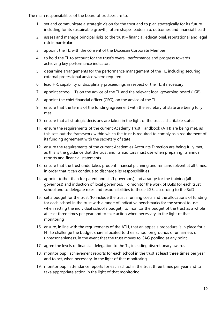The main responsibilities of the board of trustees are to:

- 1. set and communicate a strategic vision for the trust and to plan strategically for its future, including for its sustainable growth, future shape, leadership, outcomes and financial health
- 2. assess and manage principal risks to the trust financial, educational, reputational and legal risk in particular
- 3. appoint the TL, with the consent of the Diocesan Corporate Member
- 4. to hold the TL to account for the trust's overall performance and progress towards achieving key performance indicators
- 5. determine arrangements for the performance management of the TL, including securing external professional advice where required
- 6. lead HR, capability or disciplinary proceedings in respect of the TL, if necessary
- 7. appoint school HTs on the advice of the TL and the relevant local governing board (LGB)
- 8. appoint the chief financial officer (CFO), on the advice of the TL
- 9. ensure that the terms of the funding agreement with the secretary of state are being fully met
- 10. ensure that all strategic decisions are taken in the light of the trust's charitable status
- 11. ensure the requirements of the current Academy Trust Handbook (ATH) are being met, as this sets out the framework within which the trust is required to comply as a requirement of its funding agreement with the secretary of state
- 12. ensure the requirements of the current Academies Accounts Direction are being fully met, as this is the guidance that the trust and its auditors must use when preparing its annual reports and financial statements
- 13. ensure that the trust undertakes prudent financial planning and remains solvent at all times, in order that it can continue to discharge its responsibilities
- 14. appoint (other than for parent and staff governors) and arrange for the training (all governors) and induction of local governors. To monitor the work of LGBs for each trust school and to delegate roles and responsibilities to those LGBs according to the SoD
- 15. set a budget for the trust (to include the trust's running costs and the allocations of funding for each school in the trust with a range of indicative benchmarks for the school to use when setting the individual school's budget), to monitor the budget of the trust as a whole at least three times per year and to take action when necessary, in the light of that monitoring
- 16. ensure, in line with the requirements of the ATH, that an appeals procedure is in place for a HT to challenge the budget share allocated to their school on grounds of unfairness or unreasonableness, in the event that the trust moves to GAG pooling at any point
- 17. agree the levels of financial delegation to the TL, including discretionary awards
- 18. monitor pupil achievement reports for each school in the trust at least three times per year and to act, when necessary, in the light of that monitoring
- 19. monitor pupil attendance reports for each school in the trust three times per year and to take appropriate action in the light of that monitoring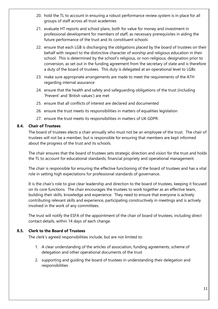- 20. hold the TL to account in ensuring a robust performance review system is in place for all groups of staff across all trust academies
- 21. evaluate HT reports and school plans, both for value for money and investment in professional development for members of staff, as necessary prerequisites in aiding the future performance of the trust and its constituent schools
- 22. ensure that each LGB is discharging the obligations placed by the board of trustees on their behalf with respect to the distinctive character of worship and religious education in their school. This is determined by the school's religious, or non-religious, designation prior to conversion, as set out in the funding agreement from the secretary of state and is therefore a duty of the board of trustees. This duty is delegated at an operational level to LGBs
- 23. make sure appropriate arrangements are made to meet the requirements of the ATH regarding internal assurance
- 24. ensure that the health and safety and safeguarding obligations of the trust (including 'Prevent' and 'British values') are met
- 25. ensure that all conflicts of interest are declared and documented
- 26. ensure the trust meets its responsibilities in matters of equalities legislation
- 27. ensure the trust meets its responsibilities in matters of UK GDPR.

#### <span id="page-10-0"></span>**8.4. Chair of Trustees**

The board of trustees elects a chair annually who must not be an employee of the trust. The chair of trustees will not be a member, but is responsible for ensuring that members are kept informed about the progress of the trust and its schools.

The chair ensures that the board of trustees sets strategic direction and vision for the trust and holds the TL to account for educational standards, financial propriety and operational management.

The chair is responsible for ensuring the effective functioning of the board of trustees and has a vital role in setting high expectations for professional standards of governance.

It is the chair's role to give clear leadership and direction to the board of trustees, keeping it focused on its core functions. The chair encourages the trustees to work together as an effective team, building their skills, knowledge and experience. They need to ensure that everyone is actively contributing relevant skills and experience, participating constructively in meetings and is actively involved in the work of any committees.

The trust will notify the ESFA of the appointment of the chair of board of trustees, including direct contact details, within 14 days of each change.

#### <span id="page-10-1"></span>**8.5. Clerk to the Board of Trustees**

The clerk's agreed responsibilities include, but are not limited to:

- 1. A clear understanding of the articles of association, funding agreements, scheme of delegation and other operational documents of the trust
- 2. supporting and guiding the board of trustees in understanding their delegation and responsibilities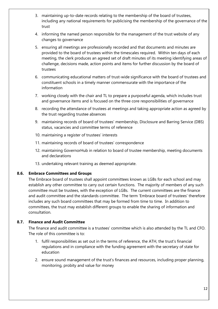- 3. maintaining up-to-date records relating to the membership of the board of trustees, including any national requirements for publicising the membership of the governance of the trust
- 4. informing the named person responsible for the management of the trust website of any changes to governance
- 5. ensuring all meetings are professionally recorded and that documents and minutes are provided to the board of trustees within the timescales required. Within ten days of each meeting, the clerk produces an agreed set of draft minutes of its meeting identifying areas of challenge, decisions made, action points and items for further discussion by the board of trustees
- 6. communicating educational matters of trust-wide significance with the board of trustees and constituent schools in a timely manner commensurate with the importance of the information
- 7. working closely with the chair and TL to prepare a purposeful agenda, which includes trust and governance items and is focused on the three core responsibilities of governance
- 8. recording the attendance of trustees at meetings and taking appropriate action as agreed by the trust regarding trustee absences
- 9. maintaining records of board of trustees' membership, Disclosure and Barring Service (DBS) status, vacancies and committee terms of reference
- 10. maintaining a register of trustees' interests
- 11. maintaining records of board of trustees' correspondence
- 12. maintaining GovernorHub in relation to board of trustee membership, meeting documents and declarations
- 13. undertaking relevant training as deemed appropriate.

#### <span id="page-11-0"></span>**8.6. Embrace Committees and Groups**

The Embrace board of trustees shall appoint committees known as LGBs for each school and may establish any other committee to carry out certain functions. The majority of members of any such committee must be trustees, with the exception of LGBs. The current committees are the finance and audit committee and the standards committee. The term 'Embrace board of trustees' therefore includes any such board committees that may be formed from time to time. In addition to committees, the trust may establish different groups to enable the sharing of information and consultation.

#### <span id="page-11-1"></span>**8.7. Finance and Audit Committee**

The finance and audit committee is a trustees' committee which is also attended by the TL and CFO. The role of this committee is to:

- 1. fulfil responsibilities as set out in the terms of reference, the ATH, the trust's financial regulations and in compliance with the funding agreement with the secretary of state for education
- 2. ensure sound management of the trust's finances and resources, including proper planning, monitoring, probity and value for money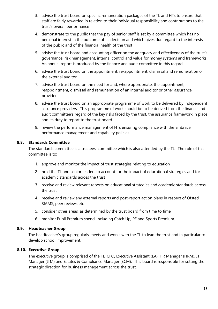- 3. advise the trust board on specific remuneration packages of the TL and HTs to ensure that staff are fairly rewarded in relation to their individual responsibility and contributions to the trust's overall performance
- 4. demonstrate to the public that the pay of senior staff is set by a committee which has no personal interest in the outcome of its decision and which gives due regard to the interests of the public and of the financial health of the trust
- 5. advise the trust board and accounting officer on the adequacy and effectiveness of the trust's governance, risk management, internal control and value for money systems and frameworks. An annual report is produced by the finance and audit committee in this regard
- 6. advise the trust board on the appointment, re-appointment, dismissal and remuneration of the external auditor
- 7. advise the trust board on the need for and, where appropriate, the appointment, reappointment, dismissal and remuneration of an internal auditor or other assurance provider
- 8. advise the trust board on an appropriate programme of work to be delivered by independent assurance providers. This programme of work should be to be derived from the finance and audit committee's regard of the key risks faced by the trust, the assurance framework in place and its duty to report to the trust board
- 9. review the performance management of HTs ensuring compliance with the Embrace performance management and capability policies.

#### <span id="page-12-0"></span>**8.8. Standards Committee**

The standards committee is a trustees' committee which is also attended by the TL. The role of this committee is to:

- 1. approve and monitor the impact of trust strategies relating to education
- 2. hold the TL and senior leaders to account for the impact of educational strategies and for academic standards across the trust
- 3. receive and review relevant reports on educational strategies and academic standards across the trust
- 4. receive and review any external reports and post-report action plans in respect of Ofsted, SIAMS, peer reviews etc
- 5. consider other areas, as determined by the trust board from time to time
- 6. monitor Pupil Premium spend, including Catch Up, PE and Sports Premium.

#### <span id="page-12-1"></span>**8.9. Headteacher Group**

The headteacher's group regularly meets and works with the TL to lead the trust and in particular to develop school improvement.

#### <span id="page-12-2"></span>**8.10. Executive Group**

The executive group is comprised of the TL, CFO, Executive Assistant (EA), HR Manager (HRM), IT Manager (ITM) and Estates & Compliance Manager (ECM). This board is responsible for setting the strategic direction for business management across the trust.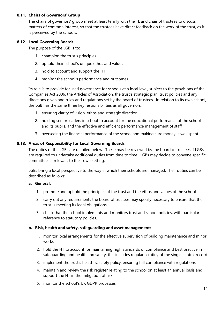#### <span id="page-13-0"></span>**8.11. Chairs of Governors' Group**

The chairs of governors' group meet at least termly with the TL and chair of trustees to discuss matters of common interest, so that the trustees have direct feedback on the work of the trust, as it is perceived by the schools.

#### <span id="page-13-1"></span>**8.12. Local Governing Boards**

The purpose of the LGB is to:

- 1. champion the trust's principles
- 2. uphold their school's unique ethos and values
- 3. hold to account and support the HT
- 4. monitor the school's performance and outcomes.

Its role is to provide focused governance for schools at a local level, subject to the provisions of the Companies Act 2006, the Articles of Association, the trust's strategic plan, trust policies and any directions given and rules and regulations set by the board of trustees. In relation to its own school, the LGB has the same three key responsibilities as all governors:

- 1. ensuring clarity of vision, ethos and strategic direction
- 2. holding senior leaders in school to account for the educational performance of the school and its pupils, and the effective and efficient performance management of staff
- 3. overseeing the financial performance of the school and making sure money is well spent.

#### <span id="page-13-2"></span>**8.13. Areas of Responsibility for Local Governing Boards**

The duties of the LGBs are detailed below. These may be reviewed by the board of trustees if LGBs are required to undertake additional duties from time to time. LGBs may decide to convene specific committees if relevant to their own setting.

LGBs bring a local perspective to the way in which their schools are managed. Their duties can be described as follows:

#### <span id="page-13-3"></span>**a. General:**

- 1. promote and uphold the principles of the trust and the ethos and values of the school
- 2. carry out any requirements the board of trustees may specify necessary to ensure that the trust is meeting its legal obligations
- 3. check that the school implements and monitors trust and school policies, with particular reference to statutory policies.

#### <span id="page-13-4"></span>**b. Risk, health and safety, safeguarding and asset management:**

- 1. monitor local arrangements for the effective supervision of building maintenance and minor works
- 2. hold the HT to account for maintaining high standards of compliance and best practice in safeguarding and health and safety; this includes regular scrutiny of the single central record
- 3. implement the trust's health & safety policy, ensuring full compliance with regulations
- 4. maintain and review the risk register relating to the school on at least an annual basis and support the HT in the mitigation of risk
- 5. monitor the school's UK GDPR processes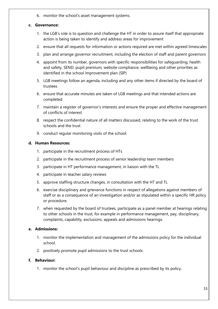6. monitor the school's asset management systems.

#### <span id="page-14-0"></span>**c. Governance:**

- 1. the LGB's role is to question and challenge the HT in order to assure itself that appropriate action is being taken to identify and address areas for improvement
- 2. ensure that all requests for information or actions required are met within agreed timescales
- 3. plan and arrange governor recruitment, including the election of staff and parent governors
- 4. appoint from its number, governors with specific responsibilities for safeguarding, health and safety, SEND, pupil premium, website compliance, wellbeing and other priorities as identified in the school improvement plan (SIP)
- 5. LGB meetings follow an agenda, including and any other items if directed by the board of trustees
- 6. ensure that accurate minutes are taken of LGB meetings and that intended actions are completed
- 7. maintain a register of governor's interests and ensure the proper and effective management of conflicts of interest
- 8. respect the confidential nature of all matters discussed, relating to the work of the trust schools and the trust
- 9. conduct regular monitoring visits of the school.

#### <span id="page-14-1"></span>**d. Human Resources:**

- 1. participate in the recruitment process of HTs
- 2. participate in the recruitment process of senior leadership team members
- 3. participate in HT performance management, in liaison with the TL
- 4. participate in teacher salary reviews
- 5. approve staffing structure changes, in consultation with the HT and TL
- 6. exercise disciplinary and grievance functions in respect of allegations against members of staff or as a consequence of an investigation and/or as stipulated within a specific HR policy or procedure.
- 7. when requested by the board of trustees, participate as a panel member at hearings relating to other schools in the trust, for example in performance management, pay, disciplinary, complaints, capability, exclusions, appeals and admissions hearings.

#### <span id="page-14-2"></span>**e. Admissions:**

- 1. monitor the implementation and management of the admissions policy for the individual school.
- 2. positively promote pupil admissions to the trust schools.

#### <span id="page-14-3"></span>**f. Behaviour:**

1. monitor the school's pupil behaviour and discipline as prescribed by its policy.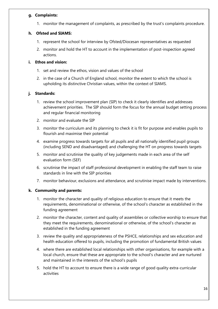#### <span id="page-15-0"></span>**g. Complaints:**

1. monitor the management of complaints, as prescribed by the trust's complaints procedure.

## <span id="page-15-1"></span>**h. Ofsted and SIAMS:**

- 1. represent the school for interview by Ofsted/Diocesan representatives as requested
- 2. monitor and hold the HT to account in the implementation of post-inspection agreed actions.

## <span id="page-15-2"></span>**i. Ethos and vision:**

- 1. set and review the ethos, vision and values of the school
- 2. in the case of a Church of England school, monitor the extent to which the school is upholding its distinctive Christian values, within the context of SIAMS.

# <span id="page-15-3"></span>**j. Standards:**

- 1. review the school improvement plan (SIP) to check it clearly identifies and addresses achievement priorities. The SIP should form the focus for the annual budget setting process and regular financial monitoring
- 2. monitor and evaluate the SIP
- 3. monitor the curriculum and its planning to check it is fit for purpose and enables pupils to flourish and maximise their potential
- 4. examine progress towards targets for all pupils and all nationally identified pupil groups (including SEND and disadvantaged) and challenging the HT on progress towards targets
- 5. monitor and scrutinise the quality of key judgements made in each area of the self evaluation form (SEF)
- 6. scrutinise the impact of staff professional development in enabling the staff team to raise standards in line with the SIP priorities
- 7. monitor behaviour, exclusions and attendance, and scrutinise impact made by interventions.

# <span id="page-15-4"></span>**k. Community and parents:**

- 1. monitor the character and quality of religious education to ensure that it meets the requirements, denominational or otherwise, of the school's character as established in the funding agreement
- 2. monitor the character, content and quality of assemblies or collective worship to ensure that they meet the requirements, denominational or otherwise, of the school's character as established in the funding agreement
- 3. review the quality and appropriateness of the PSHCE, relationships and sex education and health education offered to pupils, including the promotion of fundamental British values
- 4. where there are established local relationships with other organisations, for example with a local church, ensure that these are appropriate to the school's character and are nurtured and maintained in the interests of the school's pupils
- 5. hold the HT to account to ensure there is a wide range of good quality extra-curricular activities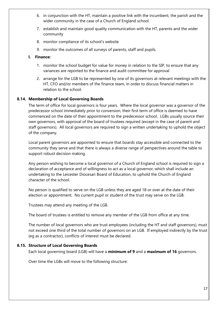- 6. in conjunction with the HT, maintain a positive link with the incumbent, the parish and the wider community in the case of a Church of England school
- 7. establish and maintain good quality communication with the HT, parents and the wider community
- 8. monitor compliance of its school's website
- 9. monitor the outcomes of all surveys of parents, staff and pupils.

#### <span id="page-16-0"></span>**l. Finance:**

- 1. monitor the school budget for value for money in relation to the SIP, to ensure that any variances are reported to the finance and audit committee for approval
- 2. arrange for the LGB to be represented by one of its governors at relevant meetings with the HT, CFO and/or members of the finance team, in order to discuss financial matters in relation to the school.

## <span id="page-16-1"></span>**8.14. Membership of Local Governing Boards**

The term of office for local governors is four years. Where the local governor was a governor of the predecessor school immediately prior to conversion, their first term of office is deemed to have commenced on the date of their appointment to the predecessor school. LGBs usually source their own governors, with approval of the board of trustees required (except in the case of parent and staff governors). All local governors are required to sign a written undertaking to uphold the object of the company.

Local parent governors are appointed to ensure that boards stay accessible and connected to the community they serve and that there is always a diverse range of perspectives around the table to support robust decision making.

Any person wishing to become a local governor of a Church of England school is required to sign a declaration of acceptance and of willingness to act as a local governor, which shall include an undertaking to the Leicester Diocesan Board of Education, to uphold the Church of England character of the school.

No person is qualified to serve on the LGB unless they are aged 18 or over at the date of their election or appointment. No current pupil or student of the trust may serve on the LGB.

Trustees may attend any meeting of the LGB.

The board of trustees is entitled to remove any member of the LGB from office at any time.

The number of local governors who are trust employees (including the HT and staff governors), must not exceed one third of the total number of governors on an LGB. If employed indirectly by the trust (eg as a contractor), conflicts of interest must be declared.

#### <span id="page-16-2"></span>**8.15. Structure of Local Governing Boards**

Each local governing board (LGB) will have a **minimum of 9** and a **maximum of 16** governors.

Over time the LGBs will move to the following structure: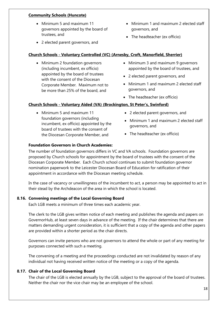#### **Community Schools (Huncote)**

- Minimum 5 and maximum 11 governors appointed by the board of trustees, and
- 2 elected parent governors, and
- Minimum 1 and maximum 2 elected staff governors, and
- The headteacher (ex officio)

## **Church Schools - Voluntary Controlled (VC) (Arnesby, Croft, Manorfield, Sherrier)**

- Minimum 2 foundation governors (including incumbent, ex officio) appointed by the board of trustees with the consent of the Diocesan Corporate Member. Maximum not to be more than 25% of the board, and
- Minimum 3 and maximum 9 governors appointed by the board of trustees, and
- 2 elected parent governors, and
- Minimum 1 and maximum 2 elected staff governors, and
- The headteacher (ex officio)

# **Church Schools - Voluntary Aided (VA) (Brockington, St Peter's, Swinford)**

- Minimum 5 and maximum 11 foundation governors (including incumbent, ex officio) appointed by the board of trustees with the consent of the Diocesan Corporate Member, and
- 2 elected parent governors, and
- Minimum 1 and maximum 2 elected staff governors, and
- The headteacher (ex officio)

# **Foundation Governors in Church Academies:**

The number of foundation governors differs in VC and VA schools. Foundation governors are proposed by Church schools for appointment by the board of trustees with the consent of the Diocesan Corporate Member. Each Church school continues to submit foundation governor nomination paperwork to the Leicester Diocesan Board of Education for ratification of their appointment in accordance with the Diocesan meeting schedule.

In the case of vacancy or unwillingness of the incumbent to act, a person may be appointed to act in their stead by the Archdeacon of the area in which the school is located.

# <span id="page-17-0"></span>**8.16. Convening meetings of the Local Governing Board**

Each LGB meets a minimum of three times each academic year.

The clerk to the LGB gives written notice of each meeting and publishes the agenda and papers on GovernorHub, at least seven days in advance of the meeting. If the chair determines that there are matters demanding urgent consideration, it is sufficient that a copy of the agenda and other papers are provided within a shorter period as the chair directs.

Governors can invite persons who are not governors to attend the whole or part of any meeting for purposes connected with such a meeting.

The convening of a meeting and the proceedings conducted are not invalidated by reason of any individual not having received written notice of the meeting or a copy of the agenda.

# <span id="page-17-1"></span>**8.17. Chair of the Local Governing Board**

The chair of the LGB is elected annually by the LGB, subject to the approval of the board of trustees. Neither the chair nor the vice chair may be an employee of the school.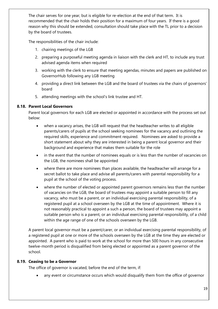The chair serves for one year, but is eligible for re-election at the end of that term. It is recommended that the chair holds their position for a maximum of four years. If there is a good reason why this should be extended, consultation should take place with the TL prior to a decision by the board of trustees.

The responsibilities of the chair include:

- 1. chairing meetings of the LGB
- 2. preparing a purposeful meeting agenda in liaison with the clerk and HT, to include any trust advised agenda items when required
- 3. working with the clerk to ensure that meeting agendas, minutes and papers are published on GovernorHub following any LGB meeting
- 4. providing a direct link between the LGB and the board of trustees via the chairs of governors' board
- 5. attending meetings with the school's link trustee and HT.

# <span id="page-18-0"></span>**8.18. Parent Local Governors**

Parent local governors for each LGB are elected or appointed in accordance with the process set out below:

- when a vacancy arises, the LGB will request that the headteacher writes to all eligible parents/carers of pupils at the school seeking nominees for the vacancy and outlining the required skills, experience and commitment required. Nominees are asked to provide a short statement about why they are interested in being a parent local governor and their background and experience that makes them suitable for the role
- in the event that the number of nominees equals or is less than the number of vacancies on the LGB, the nominees shall be appointed
- where there are more nominees than places available, the headteacher will arrange for a secret ballot to take place and advise all parents/carers with parental responsibility for a pupil at the school of the voting process.
- where the number of elected or appointed parent governors remains less than the number of vacancies on the LGB, the board of trustees may appoint a suitable person to fill any vacancy, who must be a parent, or an individual exercising parental responsibility, of a registered pupil at a school overseen by the LGB at the time of appointment. Where it is not reasonably practical to appoint a such a person, the board of trustees may appoint a suitable person who is a parent, or an individual exercising parental responsibility, of a child within the age range of one of the schools overseen by the LGB.

A parent local governor must be a parent/carer, or an individual exercising parental responsibility, of a registered pupil at one or more of the schools overseen by the LGB at the time they are elected or appointed. A parent who is paid to work at the school for more than 500 hours in any consecutive twelve-month period is disqualified from being elected or appointed as a parent governor of the school.

# <span id="page-18-1"></span>**8.19. Ceasing to be a Governor**

The office of governor is vacated, before the end of the term, if:

any event or circumstance occurs which would disqualify them from the office of governor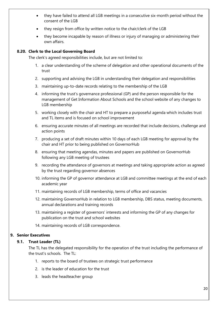- they have failed to attend all LGB meetings in a consecutive six-month period without the consent of the LGB
- they resign from office by written notice to the chair/clerk of the LGB
- they become incapable by reason of illness or injury of managing or administering their own affairs.

#### <span id="page-19-0"></span>**8.20. Clerk to the Local Governing Board**

The clerk's agreed responsibilities include, but are not limited to:

- 1. a clear understanding of the scheme of delegation and other operational documents of the trust
- 2. supporting and advising the LGB in understanding their delegation and responsibilities
- 3. maintaining up-to-date records relating to the membership of the LGB
- 4. informing the trust's governance professional (GP) and the person responsible for the management of Get Information About Schools and the school website of any changes to LGB membership
- 5. working closely with the chair and HT to prepare a purposeful agenda which includes trust and TL items and is focused on school improvement
- 6. ensuring accurate minutes of all meetings are recorded that include decisions, challenge and action points
- 7. producing a set of draft minutes within 10 days of each LGB meeting for approval by the chair and HT prior to being published on GovernorHub
- 8. ensuring that meeting agendas, minutes and papers are published on GovernorHub following any LGB meeting of trustees
- 9. recording the attendance of governors at meetings and taking appropriate action as agreed by the trust regarding governor absences
- 10. informing the GP of governor attendance at LGB and committee meetings at the end of each academic year
- 11. maintaining records of LGB membership, terms of office and vacancies
- 12. maintaining GovernorHub in relation to LGB membership, DBS status, meeting documents, annual declarations and training records
- 13. maintaining a register of governors' interests and informing the GP of any changes for publication on the trust and school websites
- 14. maintaining records of LGB correspondence.

#### <span id="page-19-2"></span><span id="page-19-1"></span>**9. Senior Executives**

#### **9.1. Trust Leader (TL)**

The TL has the delegated responsibility for the operation of the trust including the performance of the trust's schools. The TL:

- 1. reports to the board of trustees on strategic trust performance
- 2. is the leader of education for the trust
- 3. leads the headteacher group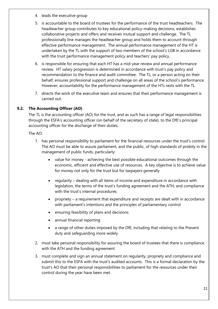- 4. leads the executive group
- 5. is accountable to the board of trustees for the performance of the trust headteachers. The headteacher group contributes to key educational policy-making decisions, establishes collaborative projects and offers and receives mutual support and challenge. The TL professionally line manages the headteacher group and holds them to account through effective performance management. The annual performance management of the HT is undertaken by the TL with the support of two members of the school's LGB in accordance with the trust performance management policy and teachers' pay policy.
- 6. is responsible for ensuring that each HT has a mid-year review and annual performance review. HT salary progression is determined in accordance with trust's pay policy and recommendation to the finance and audit committee. The TL, or a person acting on their behalf, ensures professional support and challenge on all areas of the school's performance. However, accountability for the performance management of the HTs rests with the TL.
- 7. directs the work of the executive team and ensures that their performance management is carried out.

# <span id="page-20-0"></span>**9.2. The Accounting Officer (AO)**

The TL is the accounting officer (AO) for the trust, and as such has a range of legal responsibilities through the ESFA's accounting officer (on behalf of the secretary of state), to the DfE's principal accounting officer for the discharge of their duties.

The AO:

- 1. has personal responsibility to parliament for the financial resources under the trust's control. The AO must be able to assure parliament, and the public, of high standards of probity in the management of public funds, particularly:
	- value for money achieving the best possible educational outcomes through the economic, efficient and effective use of resources. A key objective is to achieve value for money not only for the trust but for taxpayers generally
	- regularity dealing with all items of income and expenditure in accordance with legislation, the terms of the trust's funding agreement and the ATH, and compliance with the trust's internal procedures
	- propriety a requirement that expenditure and receipts are dealt with in accordance with parliament's intentions and the principles of parliamentary control
	- ensuring feasibility of plans and decisions
	- annual financial reporting
	- a range of other duties imposed by the DfE, including that relating to the Prevent duty and safeguarding more widely.
- 2. must take personal responsibility for assuring the board of trustees that there is compliance with the ATH and the funding agreement
- 3. must complete and sign an annual statement on regularity, propriety and compliance and submit this to the ESFA with the trust's audited accounts. This is a formal declaration by the trust's AO that their personal responsibilities to parliament for the resources under their control during the year have been met.